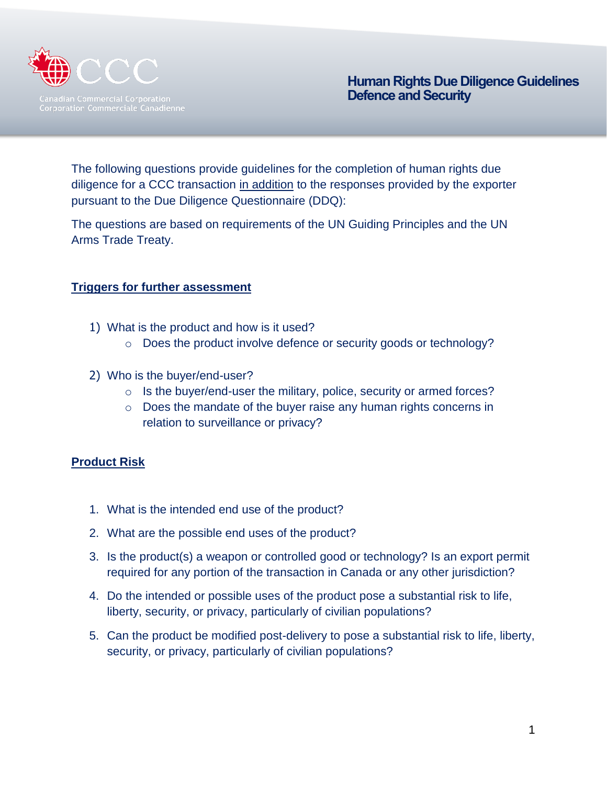

The following questions provide guidelines for the completion of human rights due diligence for a CCC transaction in addition to the responses provided by the exporter pursuant to the Due Diligence Questionnaire (DDQ):

The questions are based on requirements of the UN Guiding Principles and the UN Arms Trade Treaty.

#### **Triggers for further assessment**

- 1) What is the product and how is it used?
	- o Does the product involve defence or security goods or technology?
- 2) Who is the buyer/end-user?
	- $\circ$  Is the buyer/end-user the military, police, security or armed forces?
	- o Does the mandate of the buyer raise any human rights concerns in relation to surveillance or privacy?

## **Product Risk**

- 1. What is the intended end use of the product?
- 2. What are the possible end uses of the product?
- 3. Is the product(s) a weapon or controlled good or technology? Is an export permit required for any portion of the transaction in Canada or any other jurisdiction?
- 4. Do the intended or possible uses of the product pose a substantial risk to life, liberty, security, or privacy, particularly of civilian populations?
- 5. Can the product be modified post-delivery to pose a substantial risk to life, liberty, security, or privacy, particularly of civilian populations?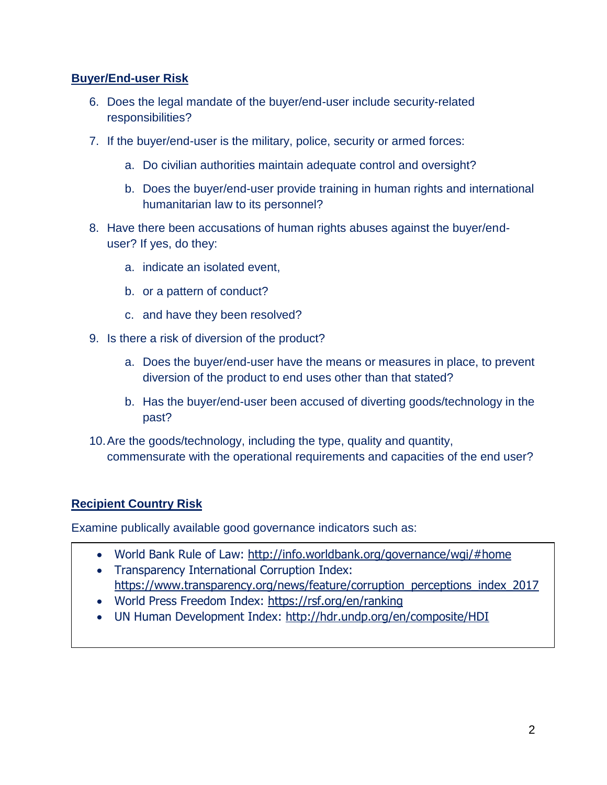### **Buyer/End-user Risk**

- 6. Does the legal mandate of the buyer/end-user include security-related responsibilities?
- 7. If the buyer/end-user is the military, police, security or armed forces:
	- a. Do civilian authorities maintain adequate control and oversight?
	- b. Does the buyer/end-user provide training in human rights and international humanitarian law to its personnel?
- 8. Have there been accusations of human rights abuses against the buyer/enduser? If yes, do they:
	- a. indicate an isolated event,
	- b. or a pattern of conduct?
	- c. and have they been resolved?
- 9. Is there a risk of diversion of the product?
	- a. Does the buyer/end-user have the means or measures in place, to prevent diversion of the product to end uses other than that stated?
	- b. Has the buyer/end-user been accused of diverting goods/technology in the past?
- 10.Are the goods/technology, including the type, quality and quantity, commensurate with the operational requirements and capacities of the end user?

## **Recipient Country Risk**

Examine publically available good governance indicators such as:

- World Bank Rule of Law:<http://info.worldbank.org/governance/wgi/#home>
- Transparency International Corruption Index: [https://www.transparency.org/news/feature/corruption\\_perceptions\\_index\\_2017](https://www.transparency.org/news/feature/corruption_perceptions_index_2017)
- 
- World Press Freedom Index:<https://rsf.org/en/ranking>
- UN Human Development Index:<http://hdr.undp.org/en/composite/HDI>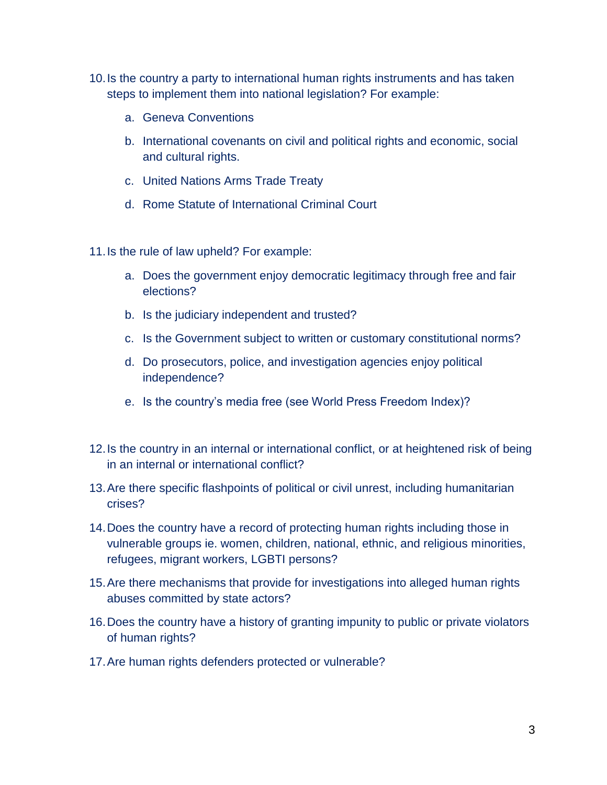- 10.Is the country a party to international human rights instruments and has taken steps to implement them into national legislation? For example:
	- a. Geneva Conventions
	- b. International covenants on civil and political rights and economic, social and cultural rights.
	- c. United Nations Arms Trade Treaty
	- d. Rome Statute of International Criminal Court

11.Is the rule of law upheld? For example:

- a. Does the government enjoy democratic legitimacy through free and fair elections?
- b. Is the judiciary independent and trusted?
- c. Is the Government subject to written or customary constitutional norms?
- d. Do prosecutors, police, and investigation agencies enjoy political independence?
- e. Is the country's media free (see World Press Freedom Index)?
- 12.Is the country in an internal or international conflict, or at heightened risk of being in an internal or international conflict?
- 13.Are there specific flashpoints of political or civil unrest, including humanitarian crises?
- 14.Does the country have a record of protecting human rights including those in vulnerable groups ie. women, children, national, ethnic, and religious minorities, refugees, migrant workers, LGBTI persons?
- 15.Are there mechanisms that provide for investigations into alleged human rights abuses committed by state actors?
- 16.Does the country have a history of granting impunity to public or private violators of human rights?
- 17.Are human rights defenders protected or vulnerable?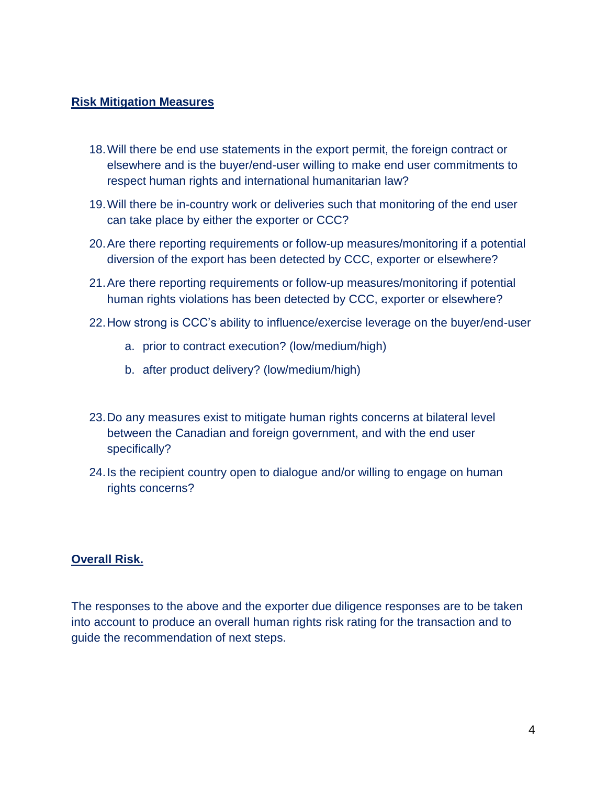#### **Risk Mitigation Measures**

- 18.Will there be end use statements in the export permit, the foreign contract or elsewhere and is the buyer/end-user willing to make end user commitments to respect human rights and international humanitarian law?
- 19.Will there be in-country work or deliveries such that monitoring of the end user can take place by either the exporter or CCC?
- 20.Are there reporting requirements or follow-up measures/monitoring if a potential diversion of the export has been detected by CCC, exporter or elsewhere?
- 21.Are there reporting requirements or follow-up measures/monitoring if potential human rights violations has been detected by CCC, exporter or elsewhere?
- 22.How strong is CCC's ability to influence/exercise leverage on the buyer/end-user
	- a. prior to contract execution? (low/medium/high)
	- b. after product delivery? (low/medium/high)
- 23.Do any measures exist to mitigate human rights concerns at bilateral level between the Canadian and foreign government, and with the end user specifically?
- 24.Is the recipient country open to dialogue and/or willing to engage on human rights concerns?

#### **Overall Risk.**

The responses to the above and the exporter due diligence responses are to be taken into account to produce an overall human rights risk rating for the transaction and to guide the recommendation of next steps.